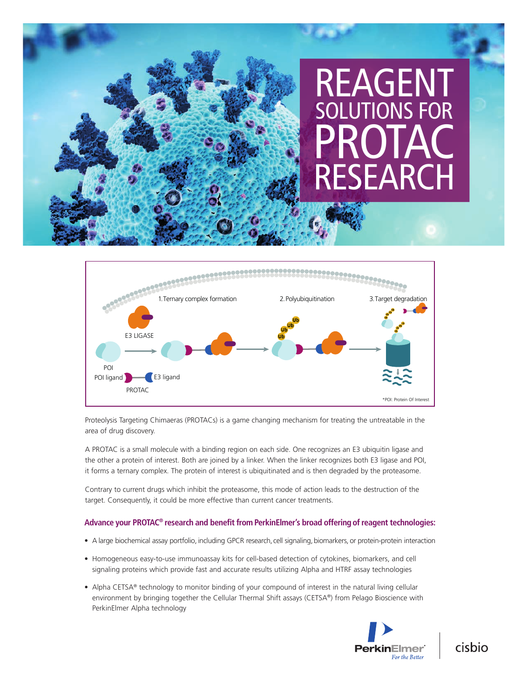# REAGENT SOLUTIONS FOR PROTAC<sup>®</sup> **FSEARC**



Proteolysis Targeting Chimaeras (PROTACs) is a game changing mechanism for treating the untreatable in the area of drug discovery.

A PROTAC is a small molecule with a binding region on each side. One recognizes an E3 ubiquitin ligase and the other a protein of interest. Both are joined by a linker. When the linker recognizes both E3 ligase and POI, it forms a ternary complex. The protein of interest is ubiquitinated and is then degraded by the proteasome.

Contrary to current drugs which inhibit the proteasome, this mode of action leads to the destruction of the target. Consequently, it could be more effective than current cancer treatments.

#### **Advance your PROTAC® research and benefit from PerkinElmer's broad offering of reagent technologies:**

- A large biochemical assay portfolio, including GPCR research, cell signaling, biomarkers, or protein-protein interaction
- Homogeneous easy-to-use immunoassay kits for cell-based detection of cytokines, biomarkers, and cell signaling proteins which provide fast and accurate results utilizing Alpha and HTRF assay technologies
- Alpha CETSA® technology to monitor binding of your compound of interest in the natural living cellular environment by bringing together the Cellular Thermal Shift assays (CETSA®) from Pelago Bioscience with PerkinElmer Alpha technology



cisbio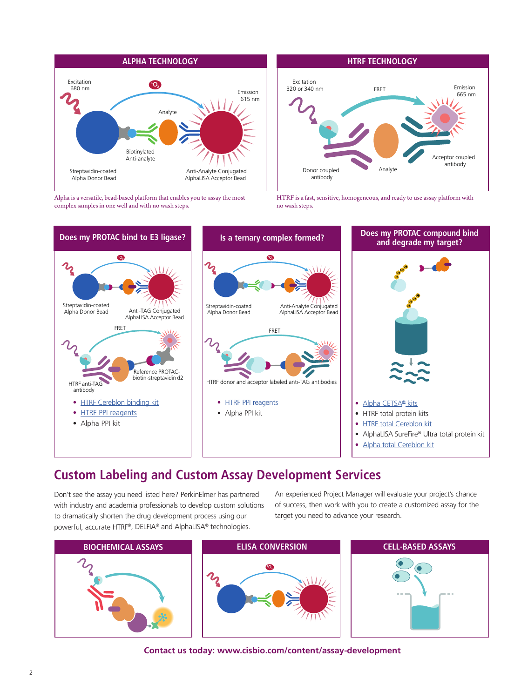

Alpha is a versatile, bead-based platform that enables you to assay the most complex samples in one well and with no wash steps.



HTRF is a fast, sensitive, homogeneous, and ready to use assay platform with no wash steps.



### **Custom Labeling and Custom Assay Development Services**

Don't see the assay you need listed here? PerkinElmer has partnered with industry and academia professionals to develop custom solutions to dramatically shorten the drug development process using our powerful, accurate HTRF®, DELFIA® and AlphaLISA® technologies.

An experienced Project Manager will evaluate your project's chance of success, then work with you to create a customized assay for the target you need to advance your research.



**Contact us today: www.cisbio.com/content/assay-development**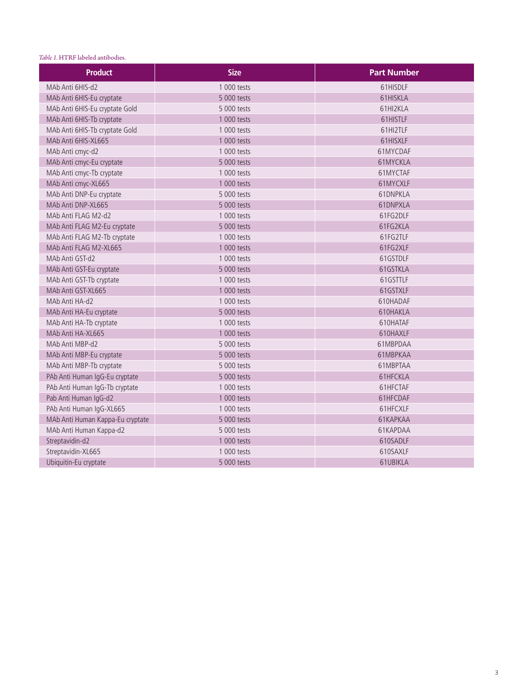#### *Table 1.* HTRF labeled antibodies.

| <b>Product</b>                   | <b>Size</b> | <b>Part Number</b> |
|----------------------------------|-------------|--------------------|
| MAb Anti 6HIS-d2                 | 1 000 tests | 61HISDLF           |
| MAb Anti 6HIS-Eu cryptate        | 5 000 tests | 61HISKLA           |
| MAb Anti 6HIS-Eu cryptate Gold   | 5 000 tests | 61HI2KLA           |
| MAb Anti 6HIS-Tb cryptate        | 1 000 tests | 61HISTLF           |
| MAb Anti 6HIS-Tb cryptate Gold   | 1 000 tests | 61HI2TLF           |
| MAb Anti 6HIS-XL665              | 1 000 tests | 61HISXLF           |
| MAb Anti cmyc-d2                 | 1 000 tests | 61MYCDAF           |
| MAb Anti cmyc-Eu cryptate        | 5 000 tests | 61MYCKLA           |
| MAb Anti cmyc-Tb cryptate        | 1 000 tests | 61MYCTAF           |
| MAb Anti cmyc-XL665              | 1 000 tests | 61MYCXLF           |
| MAb Anti DNP-Eu cryptate         | 5 000 tests | 61DNPKLA           |
| MAb Anti DNP-XL665               | 5 000 tests | 61DNPXLA           |
| MAb Anti FLAG M2-d2              | 1 000 tests | 61FG2DLF           |
| MAb Anti FLAG M2-Eu cryptate     | 5 000 tests | 61FG2KLA           |
| MAb Anti FLAG M2-Tb cryptate     | 1 000 tests | 61FG2TLF           |
| MAb Anti FLAG M2-XL665           | 1 000 tests | 61FG2XLF           |
| MAb Anti GST-d2                  | 1 000 tests | 61GSTDLF           |
| MAb Anti GST-Eu cryptate         | 5 000 tests | 61GSTKLA           |
| MAb Anti GST-Tb cryptate         | 1 000 tests | 61GSTTLF           |
| MAb Anti GST-XL665               | 1 000 tests | 61GSTXLF           |
| MAb Anti HA-d2                   | 1 000 tests | 610HADAF           |
| MAb Anti HA-Eu cryptate          | 5 000 tests | 610HAKLA           |
| MAb Anti HA-Tb cryptate          | 1 000 tests | 610HATAF           |
| MAb Anti HA-XL665                | 1 000 tests | 610HAXLF           |
| MAb Anti MBP-d2                  | 5 000 tests | 61MBPDAA           |
| MAb Anti MBP-Eu cryptate         | 5 000 tests | 61MBPKAA           |
| MAb Anti MBP-Tb cryptate         | 5 000 tests | 61MBPTAA           |
| PAb Anti Human IgG-Eu cryptate   | 5 000 tests | 61HFCKLA           |
| PAb Anti Human IgG-Tb cryptate   | 1 000 tests | 61HFCTAF           |
| Pab Anti Human IgG-d2            | 1 000 tests | 61HFCDAF           |
| PAb Anti Human IgG-XL665         | 1 000 tests | 61HFCXLF           |
| MAb Anti Human Kappa-Eu cryptate | 5 000 tests | 61KAPKAA           |
| MAb Anti Human Kappa-d2          | 5 000 tests | 61KAPDAA           |
| Streptavidin-d2                  | 1 000 tests | 610SADLF           |
| Streptavidin-XL665               | 1 000 tests | 610SAXLF           |
| Ubiquitin-Eu cryptate            | 5 000 tests | 61UBIKLA           |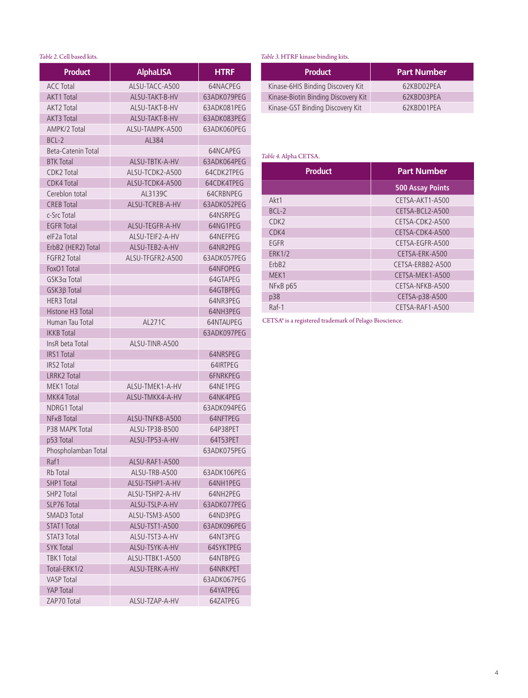#### *Table 2.* Cell based kits.

| <b>Product</b>           | <b>AlphaLISA</b> | <b>HTRF</b>     |
|--------------------------|------------------|-----------------|
| <b>ACC Total</b>         | ALSU-TACC-A500   | 64NACPEG        |
| <b>AKT1 Total</b>        | ALSU-TAKT-B-HV   | 63ADK079PEG     |
| AKT <sub>2</sub> Total   | ALSU-TAKT-B-HV   | 63ADK081PEG     |
| <b>AKT3 Total</b>        | ALSU-TAKT-B-HV   | 63ADK083PEG     |
| AMPK/2 Total             | ALSU-TAMPK-A500  | 63ADK060PEG     |
| BCL-2                    | AL384            |                 |
| Beta-Catenin Total       |                  | 64NCAPEG        |
| <b>BTK Total</b>         | ALSU-TBTK-A-HV   | 63ADK064PEG     |
| CDK2 Total               | ALSU-TCDK2-A500  | 64CDK2TPEG      |
| <b>CDK4 Total</b>        | ALSU-TCDK4-A500  | 64CDK4TPEG      |
| Cereblon total           | AL3139C          | 64CRBNPEG       |
| <b>CREB Total</b>        | ALSU-TCREB-A-HV  | 63ADK052PEG     |
| c-Src Total              |                  | 64NSRPEG        |
| <b>EGFR Total</b>        | ALSU-TEGFR-A-HV  | 64NG1PEG        |
| elF <sub>2</sub> a Total | ALSU-TEIF2-A-HV  | 64NFFPFG        |
| ErbB2 (HER2) Total       | ALSU-TEB2-A-HV   | 64NR2PEG        |
| FGFR2 Total              | ALSU-TEGER2-A500 | 63ADK057PFG     |
| FoxO1 Total              |                  | 64NFOPEG        |
| $GSK3\alpha$ Total       |                  | 64GTAPEG        |
| GSK3β Total              |                  | 64GTBPEG        |
| <b>HER3 Total</b>        |                  | 64NR3PEG        |
| Histone H3 Total         |                  | 64NH3PEG        |
| Human Tau Total          | AL271C           | 64NTAUPEG       |
| <b>IKKB</b> Total        |                  | 63ADK097PEG     |
| InsR beta Total          | ALSU-TINR-A500   |                 |
| <b>IRS1 Total</b>        |                  | 64NRSPEG        |
| <b>IRS2 Total</b>        |                  | 64IRTPEG        |
| <b>LRRK2 Total</b>       |                  | <b>6FNRKPEG</b> |
| MEK1 Total               | ALSU-TMEK1-A-HV  | 64NE1PEG        |
| MKK4 Total               | ALSU-TMKK4-A-HV  | 64NK4PEG        |
| NDRG1 Total              |                  | 63ADK094PEG     |
| NF <sub>K</sub> B Total  | ALSU-TNFKB-A500  | 64NFTPEG        |
| P38 MAPK Total           | ALSU-TP38-B500   | 64P38PET        |
| p53 Total                | ALSU-TP53-A-HV   | 64T53PET        |
| Phospholamban Total      |                  | 63ADK075PEG     |
| Raf1                     | ALSU-RAF1-A500   |                 |
| Rb Total                 | ALSU-TRB-A500    | 63ADK106PEG     |
| <b>SHP1 Total</b>        | ALSU-TSHP1-A-HV  | 64NH1PEG        |
| SHP2 Total               | ALSU-TSHP2-A-HV  | 64NH2PEG        |
| SLP76 Total              | ALSU-TSLP-A-HV   | 63ADK077PEG     |
| <b>SMAD3 Total</b>       | ALSU-TSM3-A500   | 64ND3PEG        |
| <b>STAT1 Total</b>       | ALSU-TST1-A500   | 63ADK096PEG     |
| <b>STAT3 Total</b>       | ALSU-TST3-A-HV   | 64NT3PEG        |
| <b>SYK Total</b>         | ALSU-TSYK-A-HV   | 64SYKTPEG       |
| <b>TBK1 Total</b>        | ALSU-TTBK1-A500  | 64NTRPFG        |
| Total-ERK1/2             | ALSU-TERK-A-HV   | 64NRKPET        |
| <b>VASP Total</b>        |                  | 63ADK067PEG     |
| YAP Total                |                  | 64YATPEG        |
| ZAP70 Total              | ALSU-TZAP-A-HV   | 64ZATPEG        |

#### *Table 3.* HTRF kinase binding kits.

| <b>Product</b>                      | <b>Part Number</b> |
|-------------------------------------|--------------------|
| Kinase-6HIS Binding Discovery Kit   | 62KBD02PFA         |
| Kinase-Biotin Binding Discovery Kit | 62KBD03PFA         |
| Kinase-GST Binding Discovery Kit    | 62KBD01PFA         |

#### *Table 4.* Alpha CETSA.

| <b>Product</b>        | <b>Part Number</b>      |  |
|-----------------------|-------------------------|--|
|                       | <b>500 Assay Points</b> |  |
| Akt1                  | CETSA-AKT1-A500         |  |
| $BCI-2$               | CETSA-BCL2-A500         |  |
| CDK <sub>2</sub>      | CETSA-CDK2-A500         |  |
| CDK4                  | CETSA-CDK4-A500         |  |
| EGFR                  | CFTSA-FGFR-A500         |  |
| <b>ERK1/2</b>         | CETSA-ERK-A500          |  |
| ErbB <sub>2</sub>     | CETSA-ERBB2-A500        |  |
| MFK1                  | CFTSA-MFK1-A500         |  |
| NF <sub>K</sub> B p65 | CFTSA-NFKB-A500         |  |
| p38                   | CETSA-p38-A500          |  |
| $Raf-1$               | CETSA-RAF1-A500         |  |

CETSA® is a registered trademark of Pelago Bioscience.